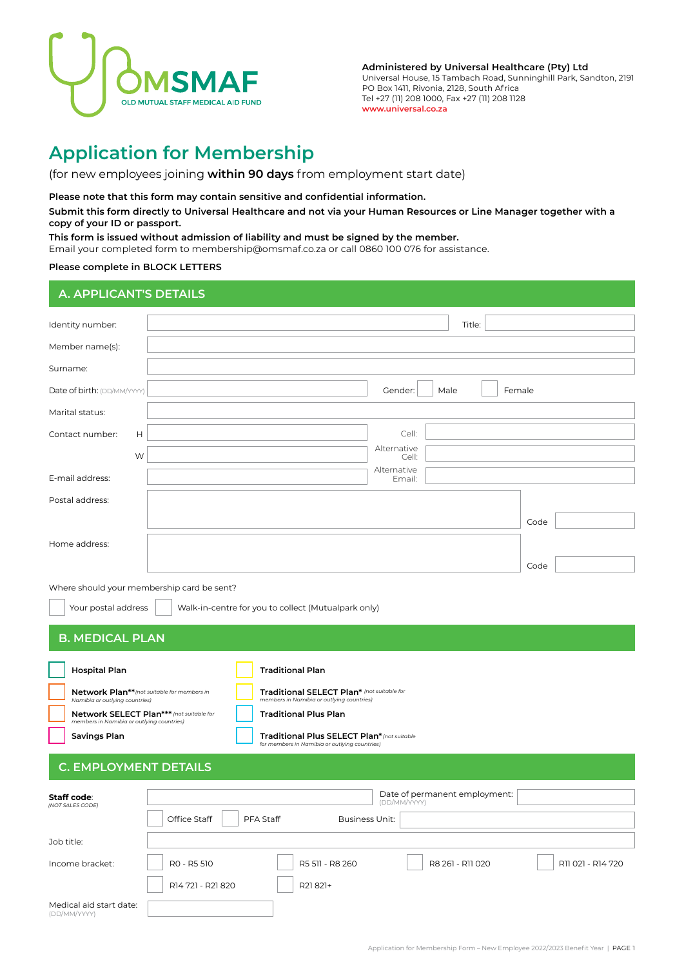

**Administered by Universal Healthcare (Pty) Ltd** Universal House, 15 Tambach Road, Sunninghill Park, Sandton, 2191 PO Box 1411, Rivonia, 2128, South Africa Tel +27 (11) 208 1000, Fax +27 (11) 208 1128 **www.universal.co.za**

# **Application for Membership**

(for new employees joining **within 90 days** from employment start date)

### **Please note that this form may contain sensitive and confidential information.**

**Submit this form directly to Universal Healthcare and not via your Human Resources or Line Manager together with a copy of your ID or passport.**

**This form is issued without admission of liability and must be signed by the member.**

Email your completed form to membership@omsmaf.co.za or call 0860 100 076 for assistance.

### **Please complete in BLOCK LETTERS**

# **A. APPLICANT'S DETAILS**

| Identity number:                                                                      | Title:                                                                                       |                   |
|---------------------------------------------------------------------------------------|----------------------------------------------------------------------------------------------|-------------------|
| Member name(s):                                                                       |                                                                                              |                   |
| Surname:                                                                              |                                                                                              |                   |
| Date of birth: (DD/MM/YYYY)                                                           | Gender:<br>Male<br>Female                                                                    |                   |
| Marital status:                                                                       |                                                                                              |                   |
| Contact number:<br>Н                                                                  | Cell:                                                                                        |                   |
| W                                                                                     | Alternative<br>Cell:                                                                         |                   |
| E-mail address:                                                                       | Alternative<br>Email:                                                                        |                   |
| Postal address:                                                                       |                                                                                              |                   |
|                                                                                       | Code                                                                                         |                   |
| Home address:                                                                         |                                                                                              |                   |
|                                                                                       | Code                                                                                         |                   |
| Where should your membership card be sent?                                            |                                                                                              |                   |
| Your postal address                                                                   | Walk-in-centre for you to collect (Mutualpark only)                                          |                   |
| <b>B. MEDICAL PLAN</b>                                                                |                                                                                              |                   |
|                                                                                       |                                                                                              |                   |
| <b>Hospital Plan</b>                                                                  | <b>Traditional Plan</b>                                                                      |                   |
| Network Plan** (not suitable for members in<br>Namibia or outlying countries)         | Traditional SELECT Plan* (not suitable for<br>members in Namibia or outlying countries)      |                   |
| Network SELECT Plan*** (not suitable for<br>members in Namibia or outlying countries) | <b>Traditional Plus Plan</b>                                                                 |                   |
| Savings Plan                                                                          | Traditional Plus SELECT Plan* (not suitable<br>for members in Namibia or outlying countries) |                   |
| <b>C. EMPLOYMENT DETAILS</b>                                                          |                                                                                              |                   |
|                                                                                       |                                                                                              |                   |
| Staff code:<br>(NOT SALES CODE)                                                       | Date of permanent employment:<br>(DD/MM/YYYY)                                                |                   |
|                                                                                       | Office Staff<br><b>Business Unit:</b><br>PFA Staff                                           |                   |
| Job title:                                                                            |                                                                                              |                   |
| Income bracket:                                                                       | R0 - R5 510<br>R5 511 - R8 260<br>R8 261 - R11 020                                           | R11 021 - R14 720 |
|                                                                                       | R14 721 - R21 820<br>R21821+                                                                 |                   |
| Medical aid start date:<br>(DD/MM/YYYY)                                               |                                                                                              |                   |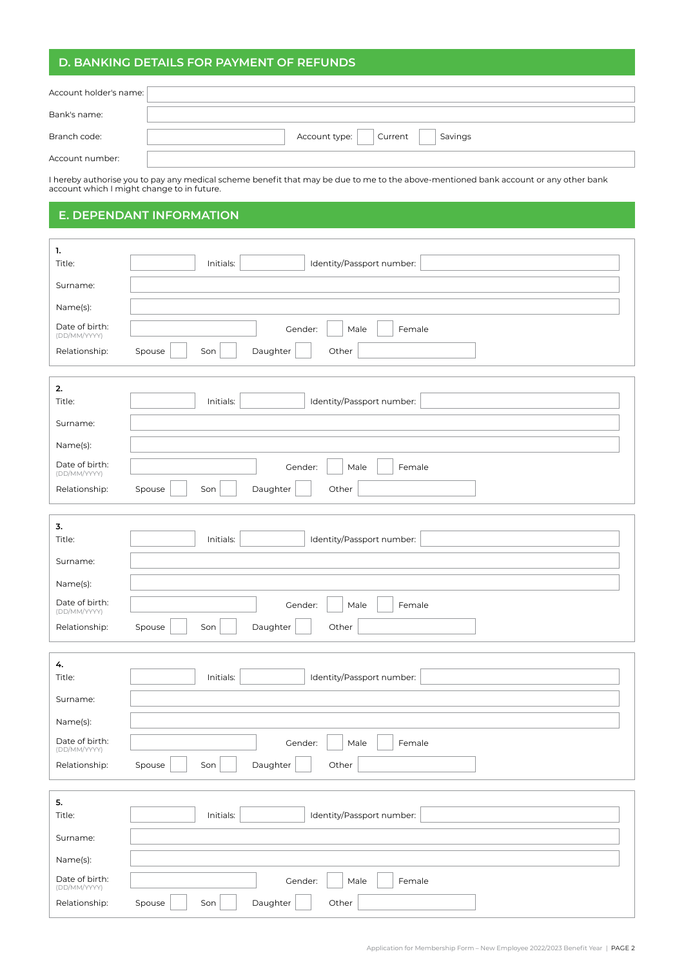# **D. BANKING DETAILS FOR PAYMENT OF REFUNDS**

| Account holder's name: |                                             |
|------------------------|---------------------------------------------|
|                        |                                             |
| Bank's name:           |                                             |
|                        |                                             |
| Branch code:           | Account type: $\Box$ Current $\Box$ Savings |
|                        |                                             |
| Account number:        |                                             |

I hereby authorise you to pay any medical scheme benefit that may be due to me to the above-mentioned bank account or any other bank account which I might change to in future.

## **E. DEPENDANT INFORMATION**

| 1.                             |                                        |
|--------------------------------|----------------------------------------|
| Title:                         | Initials:<br>Identity/Passport number: |
| Surname:                       |                                        |
| Name(s):                       |                                        |
| Date of birth:<br>(DD/MM/YYYY) | Gender:<br>Male<br>Female              |
| Relationship:                  | Other<br>Spouse<br>Son<br>Daughter     |
|                                |                                        |
| 2.<br>Title:                   | Initials:<br>Identity/Passport number: |
| Surname:                       |                                        |
| Name(s):                       |                                        |
| Date of birth:                 | Gender:<br>Female<br>Male              |
| (DD/MM/YYYY)<br>Relationship:  | Other<br>Spouse<br>Son<br>Daughter     |
|                                |                                        |
| 3.                             |                                        |
| Title:                         | Initials:<br>Identity/Passport number: |
| Surname:                       |                                        |
| Name(s):                       |                                        |
| Date of birth:<br>(DD/MM/YYYY) | Gender:<br>Male<br>Female              |
| Relationship:                  | Daughter<br>Other<br>Spouse<br>Son     |
| 4.                             |                                        |
| Title:                         | Initials:<br>Identity/Passport number: |
| Surname:                       |                                        |
| Name(s):                       |                                        |
| Date of birth:<br>(DD/MM/YYYY) | Gender:<br>Female<br>Male              |
| Relationship:                  | Daughter<br>Spouse<br>Son<br>Other     |
|                                |                                        |
| 5.                             |                                        |
| Title:                         | Identity/Passport number:<br>Initials: |
| Surname:                       |                                        |
| Name(s):                       |                                        |
| Date of birth:<br>(DD/MM/YYYY) | Gender:<br>Female<br>Male              |
| Relationship:                  | Spouse<br>Daughter<br>Other<br>Son     |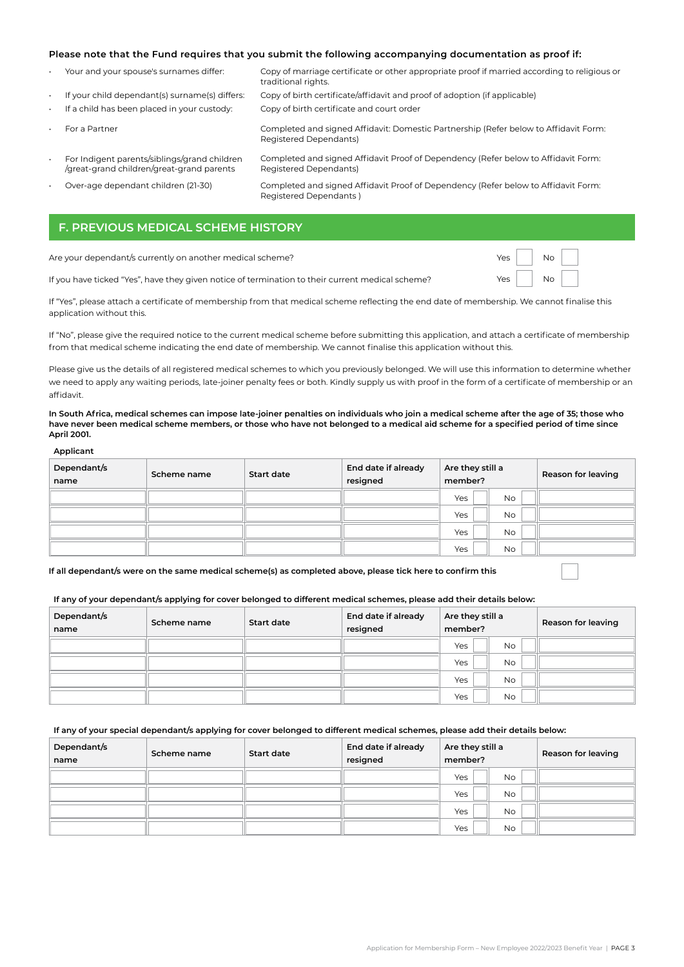### **Please note that the Fund requires that you submit the following accompanying documentation as proof if:**

Registered Dependants)

• Your and your spouse's surnames differ: Copy of marriage certificate or other appropriate proof if married according to religious or traditional rights.

- If your child dependant(s) surname(s) differs: Copy of birth certificate/affidavit and proof of adoption (if applicable) • If a child has been placed in your custody: Copy of birth certificate and court order
- 
- 

• For a Partner Completed and signed Affidavit: Domestic Partnership (Refer below to Affidavit Form: Registered Dependants) Completed and signed Affidavit Proof of Dependency (Refer below to Affidavit Form:

- For Indigent parents/siblings/grand children /great-grand children/great-grand parents
- 

• Over-age dependant children (21-30) Completed and signed Affidavit Proof of Dependency (Refer below to Affidavit Form: Registered Dependants )

# **F. PREVIOUS MEDICAL SCHEME HISTORY**

Are your dependant/s currently on another medical scheme?

If you have ticked "Yes", have they given notice of termination to their current medical scheme?

| Yes | Nο |  |
|-----|----|--|
| Yes | Nο |  |

If "Yes", please attach a certificate of membership from that medical scheme reflecting the end date of membership. We cannot finalise this application without this.

If "No", please give the required notice to the current medical scheme before submitting this application, and attach a certificate of membership from that medical scheme indicating the end date of membership. We cannot finalise this application without this.

Please give us the details of all registered medical schemes to which you previously belonged. We will use this information to determine whether we need to apply any waiting periods, late-joiner penalty fees or both. Kindly supply us with proof in the form of a certificate of membership or an affidavit.

**In South Africa, medical schemes can impose late-joiner penalties on individuals who join a medical scheme after the age of 35; those who have never been medical scheme members, or those who have not belonged to a medical aid scheme for a specified period of time since April 2001.**

#### **Applicant**

| Dependant/s<br>name | Scheme name | <b>Start date</b> | End date if already<br>resigned | Are they still a<br>member? | Reason for leaving |
|---------------------|-------------|-------------------|---------------------------------|-----------------------------|--------------------|
|                     |             |                   |                                 | <b>No</b><br>Yes            |                    |
|                     |             |                   |                                 | <b>No</b><br>Yes            |                    |
|                     |             |                   |                                 | Yes<br><b>No</b>            |                    |
|                     |             |                   |                                 | Yes<br><b>No</b>            |                    |

**If all dependant/s were on the same medical scheme(s) as completed above, please tick here to confirm this**

### **If any of your dependant/s applying for cover belonged to different medical schemes, please add their details below:**

| Dependant/s<br>name | Scheme name | <b>Start date</b> | End date if already<br>resigned | Are they still a<br>member? | Reason for leaving |
|---------------------|-------------|-------------------|---------------------------------|-----------------------------|--------------------|
|                     |             |                   |                                 | Yes<br><b>No</b>            |                    |
|                     |             |                   |                                 | Yes<br><b>No</b>            |                    |
|                     |             |                   |                                 | Yes<br><b>No</b>            |                    |
|                     |             |                   |                                 | Yes<br><b>No</b>            |                    |

#### **If any of your special dependant/s applying for cover belonged to different medical schemes, please add their details below:**

| Dependant/s<br>name | Scheme name | <b>Start date</b> | End date if already<br>resigned | Are they still a<br>member? |           | Reason for leaving |
|---------------------|-------------|-------------------|---------------------------------|-----------------------------|-----------|--------------------|
|                     |             |                   |                                 | Yes                         | <b>No</b> |                    |
|                     |             |                   |                                 | Yes                         | <b>No</b> |                    |
|                     |             |                   |                                 | Yes                         | <b>No</b> |                    |
|                     |             |                   |                                 | Yes                         | <b>No</b> |                    |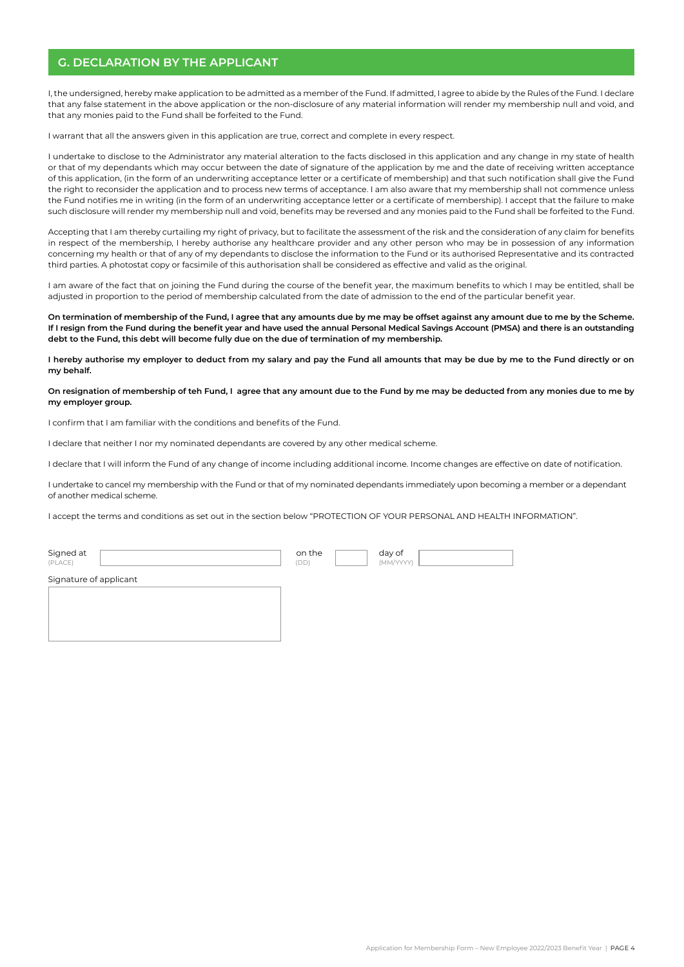## **G. DECLARATION BY THE APPLICANT**

I, the undersigned, hereby make application to be admitted as a member of the Fund. If admitted, I agree to abide by the Rules of the Fund. I declare that any false statement in the above application or the non-disclosure of any material information will render my membership null and void, and that any monies paid to the Fund shall be forfeited to the Fund.

I warrant that all the answers given in this application are true, correct and complete in every respect.

I undertake to disclose to the Administrator any material alteration to the facts disclosed in this application and any change in my state of health or that of my dependants which may occur between the date of signature of the application by me and the date of receiving written acceptance of this application, (in the form of an underwriting acceptance letter or a certificate of membership) and that such notification shall give the Fund the right to reconsider the application and to process new terms of acceptance. I am also aware that my membership shall not commence unless the Fund notifies me in writing (in the form of an underwriting acceptance letter or a certificate of membership). I accept that the failure to make such disclosure will render my membership null and void, benefits may be reversed and any monies paid to the Fund shall be forfeited to the Fund.

Accepting that I am thereby curtailing my right of privacy, but to facilitate the assessment of the risk and the consideration of any claim for benefits in respect of the membership, I hereby authorise any healthcare provider and any other person who may be in possession of any information concerning my health or that of any of my dependants to disclose the information to the Fund or its authorised Representative and its contracted third parties. A photostat copy or facsimile of this authorisation shall be considered as effective and valid as the original.

I am aware of the fact that on joining the Fund during the course of the benefit year, the maximum benefits to which I may be entitled, shall be adjusted in proportion to the period of membership calculated from the date of admission to the end of the particular benefit year.

**On termination of membership of the Fund, I agree that any amounts due by me may be offset against any amount due to me by the Scheme. If I resign from the Fund during the benefit year and have used the annual Personal Medical Savings Account (PMSA) and there is an outstanding debt to the Fund, this debt will become fully due on the due of termination of my membership.** 

**I hereby authorise my employer to deduct from my salary and pay the Fund all amounts that may be due by me to the Fund directly or on my behalf.** 

#### **On resignation of membership of teh Fund, I agree that any amount due to the Fund by me may be deducted from any monies due to me by my employer group.**

I confirm that I am familiar with the conditions and benefits of the Fund.

I declare that neither I nor my nominated dependants are covered by any other medical scheme.

I declare that I will inform the Fund of any change of income including additional income. Income changes are effective on date of notification.

I undertake to cancel my membership with the Fund or that of my nominated dependants immediately upon becoming a member or a dependant of another medical scheme.

I accept the terms and conditions as set out in the section below "PROTECTION OF YOUR PERSONAL AND HEALTH INFORMATION".

Signed at **the day of the day of the day of the day of the day of the day of the day of the day of the day of the day of the day of the day of the day of the day of the day of the day of the day of the day of the day of th** (PLACE) (DD) (MM/YYYY)

Signature of applicant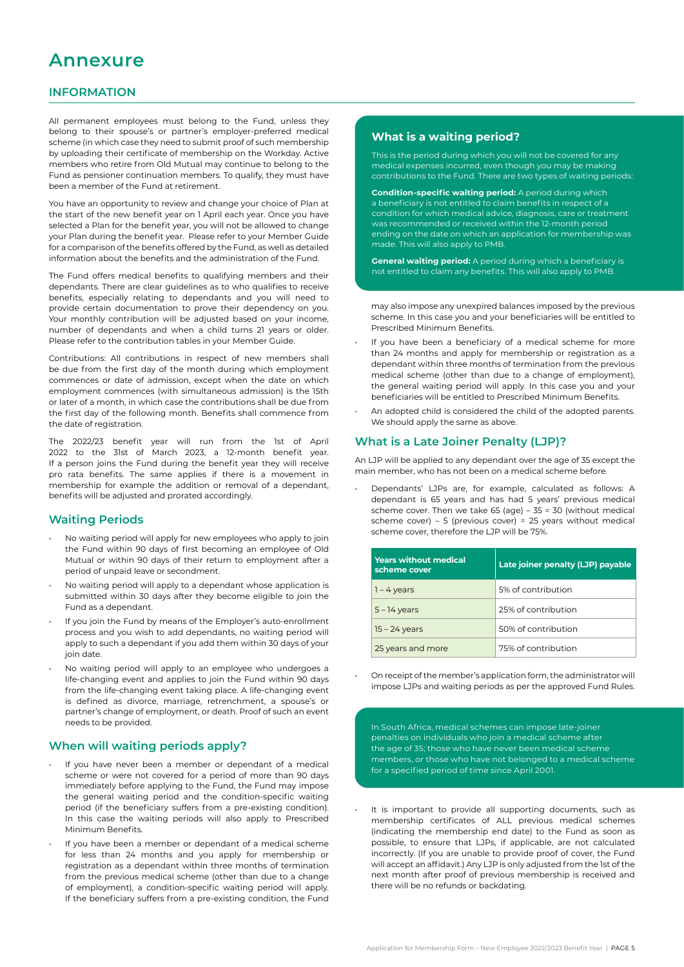# **Annexure**

## **INFORMATION**

All permanent employees must belong to the Fund, unless they belong to their spouse's or partner's employer-preferred medical scheme (in which case they need to submit proof of such membership by uploading their certificate of membership on the Workday. Active members who retire from Old Mutual may continue to belong to the Fund as pensioner continuation members. To qualify, they must have been a member of the Fund at retirement.

You have an opportunity to review and change your choice of Plan at the start of the new benefit year on 1 April each year. Once you have selected a Plan for the benefit year, you will not be allowed to change your Plan during the benefit year. Please refer to your Member Guide for a comparison of the benefits offered by the Fund, as well as detailed information about the benefits and the administration of the Fund.

The Fund offers medical benefits to qualifying members and their dependants. There are clear guidelines as to who qualifies to receive benefits, especially relating to dependants and you will need to provide certain documentation to prove their dependency on you. Your monthly contribution will be adjusted based on your income, number of dependants and when a child turns 21 years or older. Please refer to the contribution tables in your Member Guide.

Contributions: All contributions in respect of new members shall be due from the first day of the month during which employment commences or date of admission, except when the date on which employment commences (with simultaneous admission) is the 15th or later of a month, in which case the contributions shall be due from the first day of the following month. Benefits shall commence from the date of registration.

The 2022/23 benefit year will run from the 1st of April 2022 to the 31st of March 2023, a 12-month benefit year. If a person joins the Fund during the benefit year they will receive pro rata benefits. The same applies if there is a movement in membership for example the addition or removal of a dependant, benefits will be adjusted and prorated accordingly.

## **Waiting Periods**

- No waiting period will apply for new employees who apply to join the Fund within 90 days of first becoming an employee of Old Mutual or within 90 days of their return to employment after a period of unpaid leave or secondment.
- No waiting period will apply to a dependant whose application is submitted within 30 days after they become eligible to join the Fund as a dependant.
- If you join the Fund by means of the Employer's auto-enrollment process and you wish to add dependants, no waiting period will apply to such a dependant if you add them within 30 days of your join date.
- No waiting period will apply to an employee who undergoes a life-changing event and applies to join the Fund within 90 days from the life-changing event taking place. A life-changing event is defined as divorce, marriage, retrenchment, a spouse's or partner's change of employment, or death. Proof of such an event needs to be provided.

### **When will waiting periods apply?**

- If you have never been a member or dependant of a medical scheme or were not covered for a period of more than 90 days immediately before applying to the Fund, the Fund may impose the general waiting period and the condition-specific waiting period (if the beneficiary suffers from a pre-existing condition). In this case the waiting periods will also apply to Prescribed Minimum Benefits.
- If you have been a member or dependant of a medical scheme for less than 24 months and you apply for membership or registration as a dependant within three months of termination from the previous medical scheme (other than due to a change of employment), a condition-specific waiting period will apply. If the beneficiary suffers from a pre-existing condition, the Fund

### **What is a waiting period?**

This is the period during which you will not be covered for any medical expenses incurred, even though you may be making contributions to the Fund. There are two types of waiting periods:

**Condition-specific waiting period:** A period during which a beneficiary is not entitled to claim benefits in respect of a condition for which medical advice, diagnosis, care or treatment was recommended or received within the 12-month period ending on the date on which an application for membership was made. This will also apply to PMB.

**General waiting period:** A period during which a beneficiary is not entitled to claim any benefits. This will also apply to PMB.

may also impose any unexpired balances imposed by the previous scheme. In this case you and your beneficiaries will be entitled to Prescribed Minimum Benefits.

- If you have been a beneficiary of a medical scheme for more than 24 months and apply for membership or registration as a dependant within three months of termination from the previous medical scheme (other than due to a change of employment), the general waiting period will apply. In this case you and your beneficiaries will be entitled to Prescribed Minimum Benefits.
- An adopted child is considered the child of the adopted parents. We should apply the same as above.

### **What is a Late Joiner Penalty (LJP)?**

An LJP will be applied to any dependant over the age of 35 except the main member, who has not been on a medical scheme before.

• Dependants' LJPs are, for example, calculated as follows: A dependant is 65 years and has had 5 years' previous medical scheme cover. Then we take 65 (age) – 35 = 30 (without medical scheme cover) – 5 (previous cover) = 25 years without medical scheme cover, therefore the LJP will be 75%.

| <b>Years without medical</b><br>scheme cover | Late joiner penalty (LJP) payable |
|----------------------------------------------|-----------------------------------|
| $1 - 4$ years                                | 5% of contribution                |
| $5 - 14$ years                               | 25% of contribution               |
| $15 - 24$ years                              | 50% of contribution               |
| 25 years and more                            | 75% of contribution               |

• On receipt of the member's application form, the administrator will impose LJPs and waiting periods as per the approved Fund Rules.

In South Africa, medical schemes can impose late-joiner penalties on individuals who join a medical scheme after the age of 35; those who have never been medical scheme members, or those who have not belonged to a medical scheme for a specified period of time since April 2001.

It is important to provide all supporting documents, such as membership certificates of ALL previous medical schemes (indicating the membership end date) to the Fund as soon as possible, to ensure that LJPs, if applicable, are not calculated incorrectly. (If you are unable to provide proof of cover, the Fund will accept an affidavit.) Any LJP is only adjusted from the 1st of the next month after proof of previous membership is received and there will be no refunds or backdating.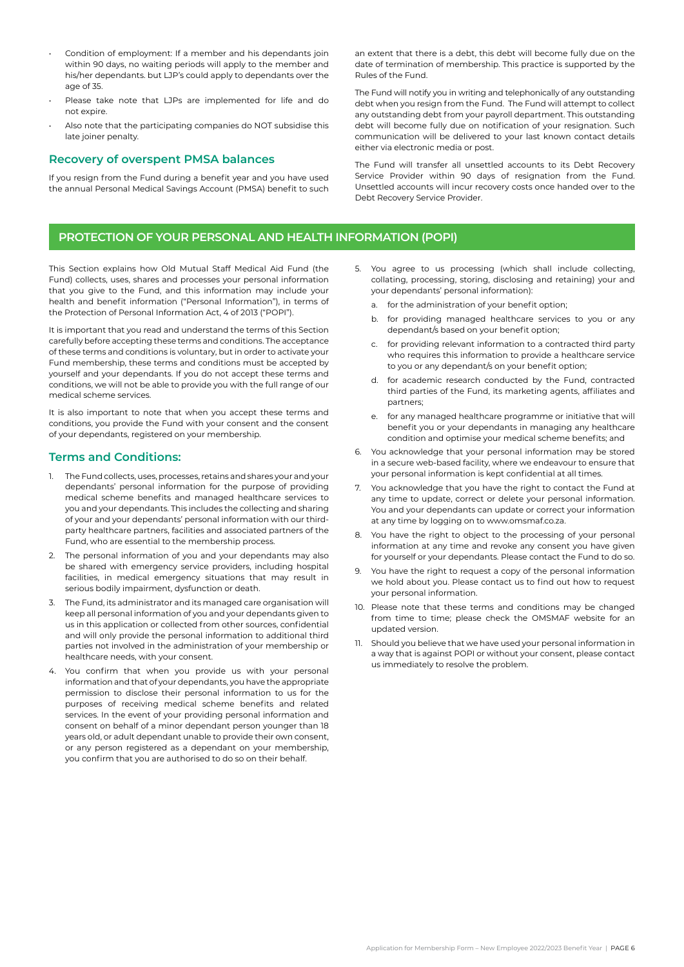- Condition of employment: If a member and his dependants join within 90 days, no waiting periods will apply to the member and his/her dependants. but LJP's could apply to dependants over the age of 35.
- Please take note that LJPs are implemented for life and do not expire.
- Also note that the participating companies do NOT subsidise this late joiner penalty.

### **Recovery of overspent PMSA balances**

If you resign from the Fund during a benefit year and you have used the annual Personal Medical Savings Account (PMSA) benefit to such an extent that there is a debt, this debt will become fully due on the date of termination of membership. This practice is supported by the Rules of the Fund.

The Fund will notify you in writing and telephonically of any outstanding debt when you resign from the Fund. The Fund will attempt to collect any outstanding debt from your payroll department. This outstanding debt will become fully due on notification of your resignation. Such communication will be delivered to your last known contact details either via electronic media or post.

The Fund will transfer all unsettled accounts to its Debt Recovery Service Provider within 90 days of resignation from the Fund. Unsettled accounts will incur recovery costs once handed over to the Debt Recovery Service Provider.

# **PROTECTION OF YOUR PERSONAL AND HEALTH INFORMATION (POPI)**

This Section explains how Old Mutual Staff Medical Aid Fund (the Fund) collects, uses, shares and processes your personal information that you give to the Fund, and this information may include your health and benefit information ("Personal Information"), in terms of the Protection of Personal Information Act, 4 of 2013 ("POPI").

It is important that you read and understand the terms of this Section carefully before accepting these terms and conditions. The acceptance of these terms and conditions is voluntary, but in order to activate your Fund membership, these terms and conditions must be accepted by yourself and your dependants. If you do not accept these terms and conditions, we will not be able to provide you with the full range of our medical scheme services.

It is also important to note that when you accept these terms and conditions, you provide the Fund with your consent and the consent of your dependants, registered on your membership.

### **Terms and Conditions:**

- 1. The Fund collects, uses, processes, retains and shares your and your dependants' personal information for the purpose of providing medical scheme benefits and managed healthcare services to you and your dependants. This includes the collecting and sharing of your and your dependants' personal information with our thirdparty healthcare partners, facilities and associated partners of the Fund, who are essential to the membership process.
- 2. The personal information of you and your dependants may also be shared with emergency service providers, including hospital facilities, in medical emergency situations that may result in serious bodily impairment, dysfunction or death.
- 3. The Fund, its administrator and its managed care organisation will keep all personal information of you and your dependants given to us in this application or collected from other sources, confidential and will only provide the personal information to additional third parties not involved in the administration of your membership or healthcare needs, with your consent.
- 4. You confirm that when you provide us with your personal information and that of your dependants, you have the appropriate permission to disclose their personal information to us for the purposes of receiving medical scheme benefits and related services. In the event of your providing personal information and consent on behalf of a minor dependant person younger than 18 years old, or adult dependant unable to provide their own consent, or any person registered as a dependant on your membership, you confirm that you are authorised to do so on their behalf.
- 5. You agree to us processing (which shall include collecting, collating, processing, storing, disclosing and retaining) your and your dependants' personal information):
	- a. for the administration of your benefit option;
	- b. for providing managed healthcare services to you or any dependant/s based on your benefit option;
	- c. for providing relevant information to a contracted third party who requires this information to provide a healthcare service to you or any dependant/s on your benefit option;
	- d. for academic research conducted by the Fund, contracted third parties of the Fund, its marketing agents, affiliates and partners;
	- e. for any managed healthcare programme or initiative that will benefit you or your dependants in managing any healthcare condition and optimise your medical scheme benefits; and
- 6. You acknowledge that your personal information may be stored in a secure web-based facility, where we endeavour to ensure that your personal information is kept confidential at all times.
- 7. You acknowledge that you have the right to contact the Fund at any time to update, correct or delete your personal information. You and your dependants can update or correct your information at any time by logging on to www.omsmaf.co.za.
- 8. You have the right to object to the processing of your personal information at any time and revoke any consent you have given for yourself or your dependants. Please contact the Fund to do so.
- 9. You have the right to request a copy of the personal information we hold about you. Please contact us to find out how to request your personal information.
- 10. Please note that these terms and conditions may be changed from time to time; please check the OMSMAF website for an updated version.
- 11. Should you believe that we have used your personal information in a way that is against POPI or without your consent, please contact us immediately to resolve the problem.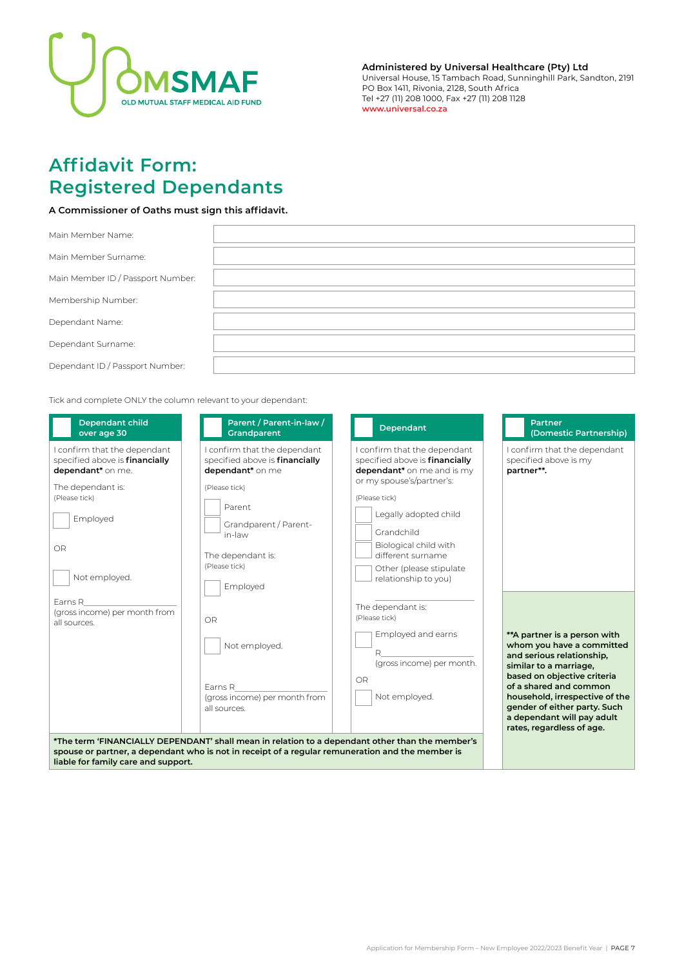

**Administered by Universal Healthcare (Pty) Ltd** Universal House, 15 Tambach Road, Sunninghill Park, Sandton, 2191 PO Box 1411, Rivonia, 2128, South Africa Tel +27 (11) 208 1000, Fax +27 (11) 208 1128 **www.universal.co.za**

# **Affidavit Form: Registered Dependants**

**A Commissioner of Oaths must sign this affidavit.** 

| Main Member Name:                 |  |
|-----------------------------------|--|
| Main Member Surname:              |  |
| Main Member ID / Passport Number: |  |
| Membership Number:                |  |
| Dependant Name:                   |  |
| Dependant Surname:                |  |
| Dependant ID / Passport Number:   |  |

Tick and complete ONLY the column relevant to your dependant:

| <b>Dependant child</b><br>over age 30                                                                                                                             | Parent / Parent-in-law /<br>Grandparent                                                                                                                                                            | Dependant                                                                                                                                                                                                                                                                          | <b>Partner</b><br>(Domestic Partnership)                                                                                                                                                                                                                                                                |
|-------------------------------------------------------------------------------------------------------------------------------------------------------------------|----------------------------------------------------------------------------------------------------------------------------------------------------------------------------------------------------|------------------------------------------------------------------------------------------------------------------------------------------------------------------------------------------------------------------------------------------------------------------------------------|---------------------------------------------------------------------------------------------------------------------------------------------------------------------------------------------------------------------------------------------------------------------------------------------------------|
| confirm that the dependant<br>specified above is financially<br>dependant* on me.<br>The dependant is:<br>(Please tick)<br>Employed<br><b>OR</b><br>Not employed. | I confirm that the dependant<br>specified above is financially<br>dependant* on me<br>(Please tick)<br>Parent<br>Grandparent / Parent-<br>in-law<br>The dependant is:<br>(Please tick)<br>Employed | I confirm that the dependant<br>specified above is financially<br>dependant* on me and is my<br>or my spouse's/partner's:<br>(Please tick)<br>Legally adopted child<br>Grandchild<br>Biological child with<br>different surname<br>Other (please stipulate<br>relationship to you) | I confirm that the dependant<br>specified above is my<br>partner**.                                                                                                                                                                                                                                     |
| Earns R<br>(gross income) per month from<br>all sources.                                                                                                          | OR<br>Not employed.<br>Farns R<br>(gross income) per month from<br>all sources.                                                                                                                    | The dependant is:<br>(Please tick)<br>Employed and earns<br>R<br>(gross income) per month.<br>OR<br>Not employed.                                                                                                                                                                  | ** A partner is a person with<br>whom you have a committed<br>and serious relationship,<br>similar to a marriage,<br>based on objective criteria<br>of a shared and common<br>household, irrespective of the<br>gender of either party. Such<br>a dependant will pay adult<br>rates, regardless of age. |
| spouse or partner, a dependant who is not in receipt of a regular remuneration and the member is<br>liable for family care and support.                           |                                                                                                                                                                                                    | *The term 'FINANCIALLY DEPENDANT' shall mean in relation to a dependant other than the member's                                                                                                                                                                                    |                                                                                                                                                                                                                                                                                                         |